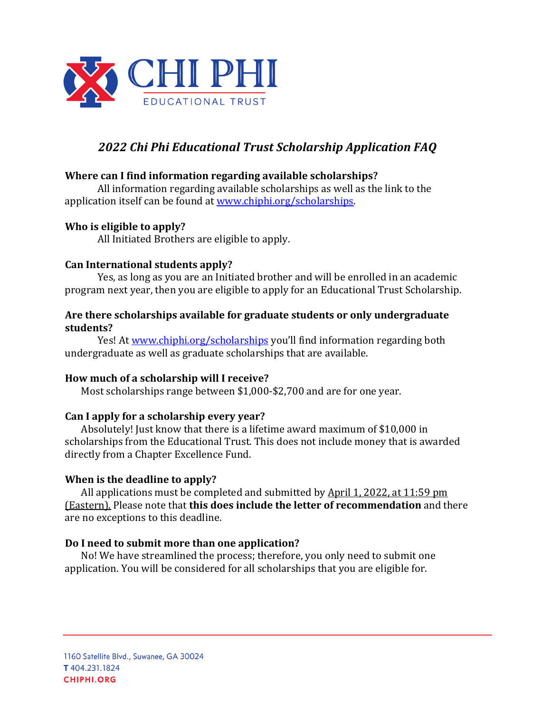

# *2022 Chi Phi Educational Trust Scholarship Application FAQ*

### **Where can I find information regarding available scholarships?**

All information regarding available scholarships as well as the link to the application itself can be found at www.chiphi.org/scholarships.

### **Who is eligible to apply?**

All Initiated Brothers are eligible to apply.

### **Can International students apply?**

Yes, as long as you are an Initiated brother and will be enrolled in an academic program next year, then you are eligible to apply for an Educational Trust Scholarship.

### Are there scholarships available for graduate students or only undergraduate **students?**

Yes! At www.chiphi.org/scholarships you'll find information regarding both undergraduate as well as graduate scholarships that are available.

### How much of a scholarship will I receive?

Most scholarships range between \$1,000-\$2,700 and are for one year.

# Can I apply for a scholarship every year?

Absolutely! Just know that there is a lifetime award maximum of  $$10,000$  in scholarships from the Educational Trust. This does not include money that is awarded directly from a Chapter Excellence Fund.

### **When is the deadline to apply?**

All applications must be completed and submitted by  $\Delta$ pril 1, 2022, at 11:59 pm (Eastern). Please note that **this does include the letter of recommendation** and there are no exceptions to this deadline.

### Do I need to submit more than one application?

No! We have streamlined the process; therefore, you only need to submit one application. You will be considered for all scholarships that you are eligible for.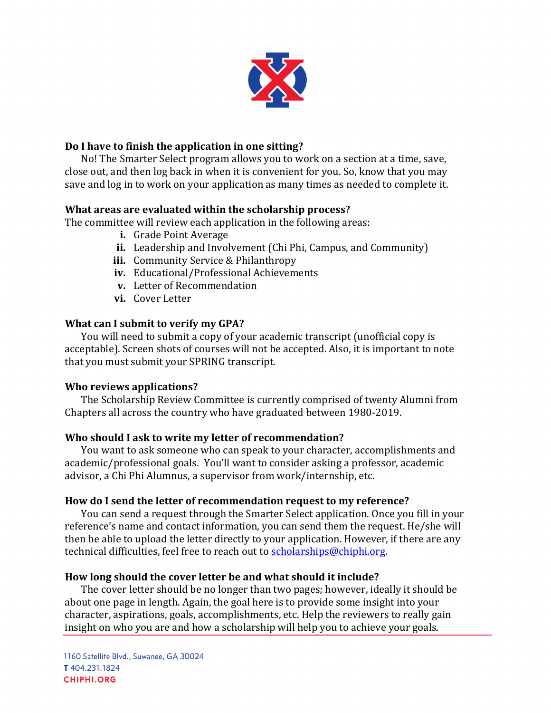

## Do I have to finish the application in one sitting?

No! The Smarter Select program allows you to work on a section at a time, save, close out, and then log back in when it is convenient for you. So, know that you may save and log in to work on your application as many times as needed to complete it.

### **What areas are evaluated within the scholarship process?**

The committee will review each application in the following areas:

- **i.** Grade Point Average
- **ii.** Leadership and Involvement (Chi Phi, Campus, and Community)
- **iii.** Community Service & Philanthropy
- iv. Educational/Professional Achievements
- **v.** Letter of Recommendation
- **vi.** Cover Letter

### **What can I submit to verify my GPA?**

You will need to submit a copy of your academic transcript (unofficial copy is acceptable). Screen shots of courses will not be accepted. Also, it is important to note that you must submit your SPRING transcript.

#### **Who reviews applications?**

The Scholarship Review Committee is currently comprised of twenty Alumni from Chapters all across the country who have graduated between 1980-2019.

### Who should I ask to write my letter of recommendation?

You want to ask someone who can speak to your character, accomplishments and academic/professional goals. You'll want to consider asking a professor, academic advisor, a Chi Phi Alumnus, a supervisor from work/internship, etc.

#### How do I send the letter of recommendation request to my reference?

You can send a request through the Smarter Select application. Once you fill in your reference's name and contact information, you can send them the request. He/she will then be able to upload the letter directly to your application. However, if there are any technical difficulties, feel free to reach out to scholarships@chiphi.org.

#### How long should the cover letter be and what should it include?

The cover letter should be no longer than two pages; however, ideally it should be about one page in length. Again, the goal here is to provide some insight into your character, aspirations, goals, accomplishments, etc. Help the reviewers to really gain insight on who you are and how a scholarship will help you to achieve your goals.